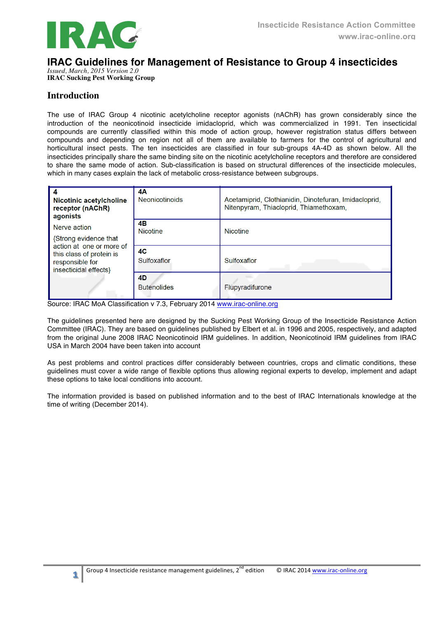

# **IRAC Guidelines for Management of Resistance to Group 4 insecticides**

*Issued, March, 2015 Version 2.0* **IRAC Sucking Pest Working Group**

# **Introduction**

The use of IRAC Group 4 nicotinic acetylcholine receptor agonists (nAChR) has grown considerably since the introduction of the neonicotinoid insecticide imidacloprid, which was commercialized in 1991. Ten insecticidal compounds are currently classified within this mode of action group, however registration status differs between compounds and depending on region not all of them are available to farmers for the control of agricultural and horticultural insect pests. The ten insecticides are classified in four sub-groups 4A-4D as shown below. All the insecticides principally share the same binding site on the nicotinic acetylcholine receptors and therefore are considered to share the same mode of action. Sub-classification is based on structural differences of the insecticide molecules, which in many cases explain the lack of metabolic cross-resistance between subgroups.

| <b>Nicotinic acetylcholine</b><br>receptor (nAChR)<br>agonists<br>Nerve action<br>{Strong evidence that<br>action at one or more of<br>this class of protein is<br>responsible for<br>insecticidal effects} | 4А<br><b>Neonicotinoids</b> | Acetamiprid, Clothianidin, Dinotefuran, Imidacloprid,<br>Nitenpyram, Thiacloprid, Thiamethoxam, |  |  |
|-------------------------------------------------------------------------------------------------------------------------------------------------------------------------------------------------------------|-----------------------------|-------------------------------------------------------------------------------------------------|--|--|
|                                                                                                                                                                                                             | 4В<br><b>Nicotine</b>       | <b>Nicotine</b>                                                                                 |  |  |
|                                                                                                                                                                                                             | 4C<br>Sulfoxaflor           | Sulfoxaflor                                                                                     |  |  |
|                                                                                                                                                                                                             | 4D<br><b>Butenolides</b>    | Flupyradifurone                                                                                 |  |  |

Source: IRAC MoA Classification v 7.3, February 2014 www.irac-online.org

The guidelines presented here are designed by the Sucking Pest Working Group of the Insecticide Resistance Action Committee (IRAC). They are based on guidelines published by Elbert et al. in 1996 and 2005, respectively, and adapted from the original June 2008 IRAC Neonicotinoid IRM guidelines. In addition, Neonicotinoid IRM guidelines from IRAC USA in March 2004 have been taken into account

As pest problems and control practices differ considerably between countries, crops and climatic conditions, these guidelines must cover a wide range of flexible options thus allowing regional experts to develop, implement and adapt these options to take local conditions into account.

The information provided is based on published information and to the best of IRAC Internationals knowledge at the time of writing (December 2014).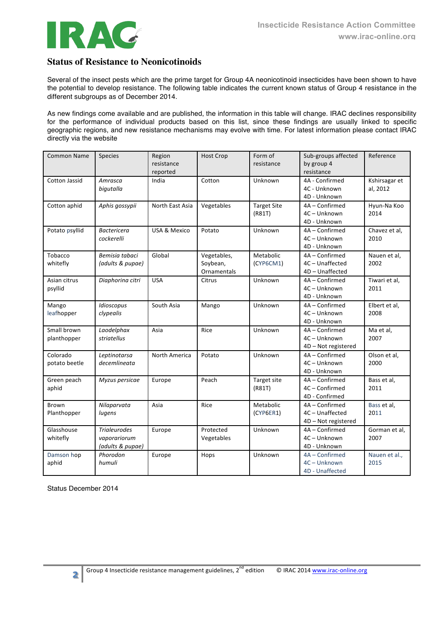

# **Status of Resistance to Neonicotinoids**

Several of the insect pests which are the prime target for Group 4A neonicotinoid insecticides have been shown to have the potential to develop resistance. The following table indicates the current known status of Group 4 resistance in the different subgroups as of December 2014.

As new findings come available and are published, the information in this table will change. IRAC declines responsibility for the performance of individual products based on this list, since these findings are usually linked to specific geographic regions, and new resistance mechanisms may evolve with time. For latest information please contact IRAC directly via the website

| <b>Common Name</b>          | Species                                                 | Region<br>resistance | <b>Host Crop</b>                       | Form of<br>resistance        | Sub-groups affected<br>by group 4                      | Reference                 |
|-----------------------------|---------------------------------------------------------|----------------------|----------------------------------------|------------------------------|--------------------------------------------------------|---------------------------|
|                             |                                                         | reported             |                                        |                              | resistance                                             |                           |
| <b>Cotton Jassid</b>        | Amrasca<br>bigutalla                                    | India                | Cotton                                 | Unknown                      | 4A - Confirmed<br>4C - Unknown<br>4D - Unknown         | Kshirsagar et<br>al, 2012 |
| Cotton aphid                | Aphis gossypii                                          | North East Asia      | Vegetables                             | <b>Target Site</b><br>(R81T) | 4A - Confirmed<br>4C - Unknown<br>4D - Unknown         | Hyun-Na Koo<br>2014       |
| Potato psyllid              | <b>Bactericera</b><br>cockerelli                        | USA & Mexico         | Potato                                 | Unknown                      | 4A - Confirmed<br>4C - Unknown<br>4D - Unknown         | Chavez et al.<br>2010     |
| Tobacco<br>whitefly         | Bemisia tabaci<br>(adults & pupae)                      | Global               | Vegetables,<br>Soybean,<br>Ornamentals | Metabolic<br>(CYP6CM1)       | 4A - Confirmed<br>4C - Unaffected<br>4D - Unaffected   | Nauen et al,<br>2002      |
| Asian citrus<br>psyllid     | Diaphorina citri                                        | <b>USA</b>           | Citrus                                 | Unknown                      | 4A - Confirmed<br>4C - Unknown<br>4D - Unknown         | Tiwari et al,<br>2011     |
| Mango<br>leafhopper         | Idioscopus<br>clypealis                                 | South Asia           | Mango                                  | Unknown                      | 4A - Confirmed<br>4C - Unknown<br>4D - Unknown         | Elbert et al,<br>2008     |
| Small brown<br>planthopper  | Laodelphax<br>striatellus                               | Asia                 | Rice                                   | Unknown                      | 4A - Confirmed<br>4C - Unknown<br>4D - Not registered  | Ma et al,<br>2007         |
| Colorado<br>potato beetle   | Leptinotarsa<br>decemlineata                            | North America        | Potato                                 | Unknown                      | 4A - Confirmed<br>4C - Unknown<br>4D - Unknown         | Olson et al,<br>2000      |
| Green peach<br>aphid        | Myzus persicae                                          | Europe               | Peach                                  | Target site<br>(R81T)        | 4A - Confirmed<br>4C - Confirmed<br>4D - Confirmed     | Bass et al,<br>2011       |
| <b>Brown</b><br>Planthopper | Nilaparvata<br>lugens                                   | Asia                 | Rice                                   | Metabolic<br>(CYP6ER1)       | 4A - Confirmed<br>4C-Unaffected<br>4D - Not registered | Bass et al.<br>2011       |
| Glasshouse<br>whitefly      | <b>Trialeurodes</b><br>vaporariorum<br>(adults & pupae) | Europe               | Protected<br>Vegetables                | Unknown                      | 4A - Confirmed<br>4C - Unknown<br>4D - Unknown         | Gorman et al,<br>2007     |
| Damson hop<br>aphid         | Phorodon<br>humuli                                      | Europe               | Hops                                   | Unknown                      | 4A - Confirmed<br>4C - Unknown<br>4D - Unaffected      | Nauen et al.,<br>2015     |

Status December 2014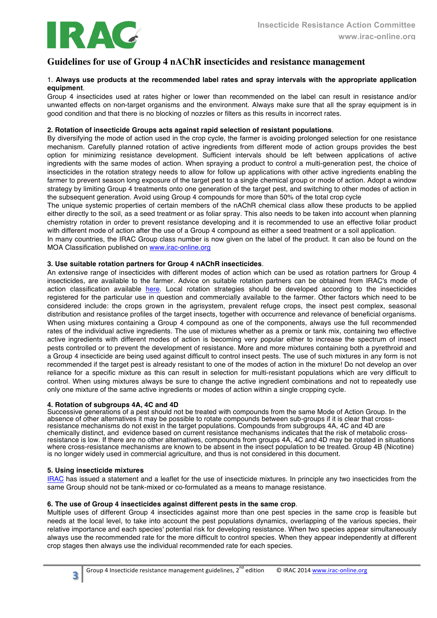

# **Guidelines for use of Group 4 nAChR insecticides and resistance management**

#### 1. **Always use products at the recommended label rates and spray intervals with the appropriate application equipment**.

Group 4 insecticides used at rates higher or lower than recommended on the label can result in resistance and/or unwanted effects on non-target organisms and the environment. Always make sure that all the spray equipment is in good condition and that there is no blocking of nozzles or filters as this results in incorrect rates.

#### **2. Rotation of insecticide Groups acts against rapid selection of resistant populations**.

By diversifying the mode of action used in the crop cycle, the farmer is avoiding prolonged selection for one resistance mechanism. Carefully planned rotation of active ingredients from different mode of action groups provides the best option for minimizing resistance development. Sufficient intervals should be left between applications of active ingredients with the same modes of action. When spraying a product to control a multi-generation pest, the choice of insecticides in the rotation strategy needs to allow for follow up applications with other active ingredients enabling the farmer to prevent season long exposure of the target pest to a single chemical group or mode of action. Adopt a window strategy by limiting Group 4 treatments onto one generation of the target pest, and switching to other modes of action in the subsequent generation. Avoid using Group 4 compounds for more than 50% of the total crop cycle

The unique systemic properties of certain members of the nAChR chemical class allow these products to be applied either directly to the soil, as a seed treatment or as foliar spray. This also needs to be taken into account when planning chemistry rotation in order to prevent resistance developing and it is recommended to use an effective foliar product with different mode of action after the use of a Group 4 compound as either a seed treatment or a soil application.

In many countries, the IRAC Group class number is now given on the label of the product. It can also be found on the MOA Classification published on www.irac-online.org

#### **3. Use suitable rotation partners for Group 4 nAChR insecticides**.

An extensive range of insecticides with different modes of action which can be used as rotation partners for Group 4 insecticides, are available to the farmer. Advice on suitable rotation partners can be obtained from IRAC's mode of action classification available here. Local rotation strategies should be developed according to the insecticides registered for the particular use in question and commercially available to the farmer. Other factors which need to be considered include: the crops grown in the agrisystem, prevalent refuge crops, the insect pest complex, seasonal distribution and resistance profiles of the target insects, together with occurrence and relevance of beneficial organisms. When using mixtures containing a Group 4 compound as one of the components, always use the full recommended rates of the individual active ingredients. The use of mixtures whether as a premix or tank mix, containing two effective active ingredients with different modes of action is becoming very popular either to increase the spectrum of insect pests controlled or to prevent the development of resistance. More and more mixtures containing both a pyrethroid and a Group 4 insecticide are being used against difficult to control insect pests. The use of such mixtures in any form is not recommended if the target pest is already resistant to one of the modes of action in the mixture! Do not develop an over reliance for a specific mixture as this can result in selection for multi-resistant populations which are very difficult to control. When using mixtures always be sure to change the active ingredient combinations and not to repeatedly use only one mixture of the same active ingredients or modes of action within a single cropping cycle.

#### **4. Rotation of subgroups 4A, 4C and 4D**

Successive generations of a pest should not be treated with compounds from the same Mode of Action Group. In the absence of other alternatives it may be possible to rotate compounds between sub-groups if it is clear that crossresistance mechanisms do not exist in the target populations. Compounds from subgroups 4A, 4C and 4D are chemically distinct, and evidence based on current resistance mechanisms indicates that the risk of metabolic crossresistance is low. If there are no other alternatives, compounds from groups 4A, 4C and 4D may be rotated in situations where cross-resistance mechanisms are known to be absent in the insect population to be treated. Group 4B (Nicotine) is no longer widely used in commercial agriculture, and thus is not considered in this document.

#### **5. Using insecticide mixtures**

IRAC has issued a statement and a leaflet for the use of insecticide mixtures. In principle any two insecticides from the same Group should not be tank-mixed or co-formulated as a means to manage resistance.

#### **6. The use of Group 4 insecticides against different pests in the same crop**.

Multiple uses of different Group 4 insecticides against more than one pest species in the same crop is feasible but needs at the local level, to take into account the pest populations dynamics, overlapping of the various species, their relative importance and each species' potential risk for developing resistance. When two species appear simultaneously always use the recommended rate for the more difficult to control species. When they appear independently at different crop stages then always use the individual recommended rate for each species.